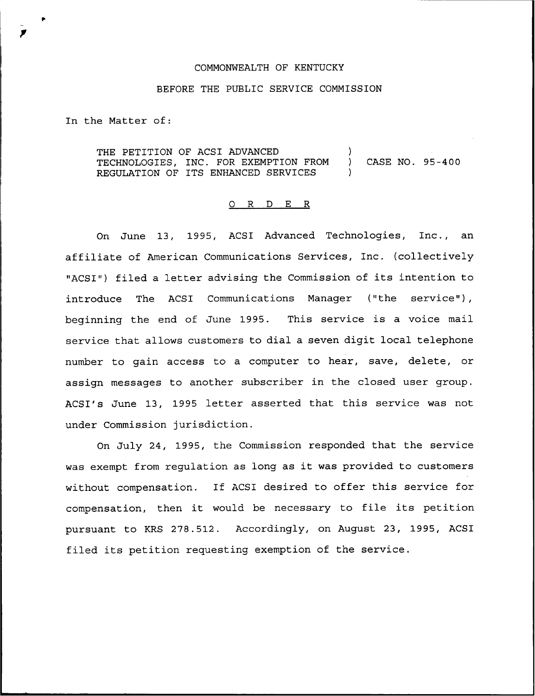## COMMONWEALTH OF KENTUCKY

## BEFORE THE PUBLIC SERVICE COMMISSION

In the Matter of:

THE PETITION OF ACSI ADVANCED TECHNOLOGIES, INC. FOR EXEMPTION FROM REGULATION OF ITS ENHANCED SERVICES ) ) CASE NO. 95-400 )

## 0 R <sup>D</sup> E R

On June 13, 1995, ACSI Advanced Technologies, Inc., an affiliate of American Communications Services, Inc. (collectively "ACSI") filed <sup>a</sup> letter advising the Commission of its intention to introduce The ACSI Communications Manager ("the service"), beginning the end of June 1995. This service is a voice mail service that allows customers to dial a seven digit local telephone number to gain access to a computer to hear, save, delete, or assign messages to another subscriber in the closed user group. ACSI's June 13, 1995 letter asserted that this service was not under Commission jurisdiction.

On July 24, 1995, the Commission responded that the service was exempt from regulation as long as it was provided to customers without compensation. If ACSI desired to offer this service for compensation, then it would be necessary to file its petition pursuant to KRS 278.512. Accordingly, on August 23, 1995, ACSI filed its petition requesting exemption of the service.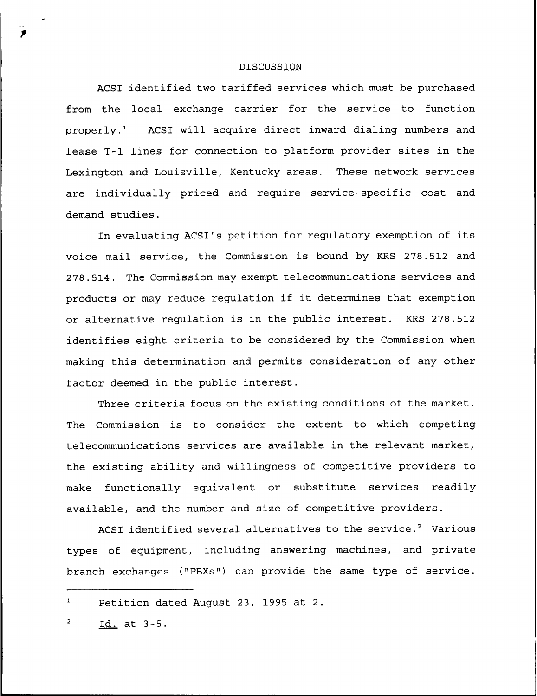## DISCUSSION

ACSI identified two tariffed services which must be purchased from the local exchange carrier for the service to function properly.<sup>1</sup> ACSI will acquire direct inward dialing numbers and lease T-1 lines for connection to platform provider sites in the Lexington and Louisville, Kentucky areas. These network services are individually priced and require service-specific cost and demand studies.

In evaluating ACSI's petition for regulatory exemption of its voice mail service, the Commission is bound by KRS 278.512 and 278.514. The Commission may exempt telecommunications services and products or may reduce regulation if it determines that exemption or alternative regulation is in the public interest. KRS 278.512 identifies eight criteria to be considered by the Commission when making this determination and permits consideration of any other factor deemed in the public interest.

Three criteria focus on the existing conditions of the market. The Commission is to consider the extent to which competing telecommunications services are available in the relevant market, the existing ability and willingness of competitive providers to make functionally equivalent or substitute services readily available, and the number and size of competitive providers.

ACSI identified several alternatives to the service.<sup>2</sup> Various types of equipment, including answering machines, and private branch exchanges ("PBXs") can provide the same type of service.

 $\mathbf{1}$ Petition dated August 23, 1995 at 2.

Id. at 3-5.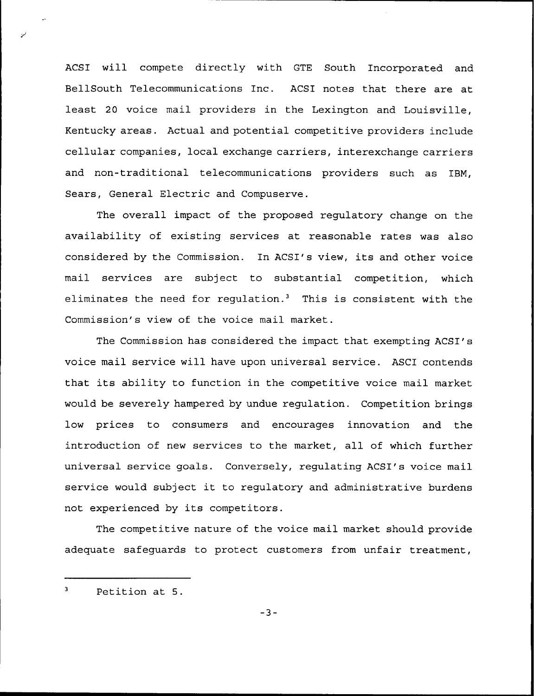ACSI will compete directly with GTE South Incorporated and BellSouth Telecommunications Inc. ACSI notes that there are at least 20 voice mail providers in the Lexington and Louisville, Kentucky areas. Actual and potential competitive providers include cellular companies, local exchange carriers, interexchange carriers and non-traditional telecommunications providers such as IBM, Sears, General Electric and Compuserve.

The overall impact of the proposed regulatory change on the availability of existing services at reasonable rates was also considered by the Commission. In ACSI's view, its and other voice mail services are subject to substantial competition, which eliminates the need for regulation.<sup>3</sup> This is consistent with the Commission's view of the voice mail market.

The Commission has considered the impact that exempting ACSI's voice mail service will have upon universal service. ASCI contends that its ability to function in the competitive voice mail market would be severely hampered by undue regulation. Competition brings low prices to consumers and encourages innovation and the introduction of new services to the market, all of which further universal service goals. Conversely, regulating ACSI's voice mail service would subject it to regulatory and administrative burdens not experienced by its competitors.

The competitive nature of the voice mail market should provide adequate safeguards to protect customers from unfair treatment,

 $-3-$ 

 $\overline{\mathbf{3}}$ Petition at 5.